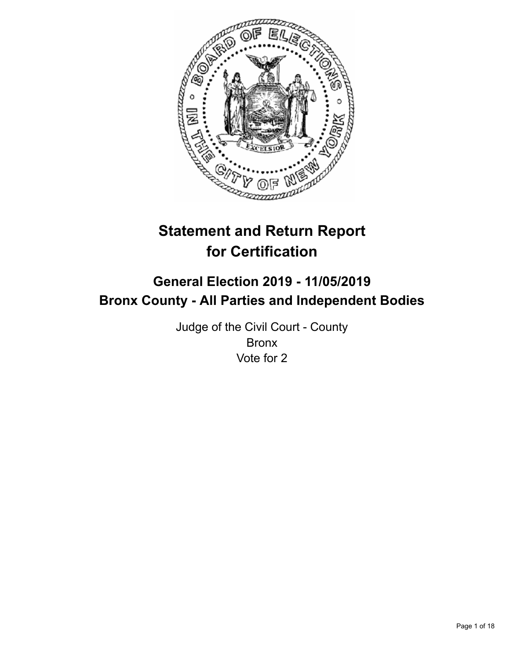

# **Statement and Return Report for Certification**

## **General Election 2019 - 11/05/2019 Bronx County - All Parties and Independent Bodies**

Judge of the Civil Court - County Bronx Vote for 2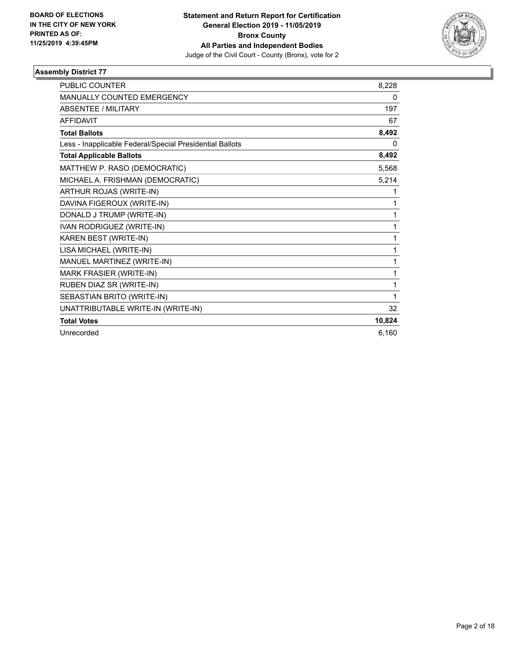

| <b>PUBLIC COUNTER</b>                                    | 8,228  |
|----------------------------------------------------------|--------|
| MANUALLY COUNTED EMERGENCY                               | 0      |
| <b>ABSENTEE / MILITARY</b>                               | 197    |
| <b>AFFIDAVIT</b>                                         | 67     |
| <b>Total Ballots</b>                                     | 8,492  |
| Less - Inapplicable Federal/Special Presidential Ballots | 0      |
| <b>Total Applicable Ballots</b>                          | 8,492  |
| MATTHEW P. RASO (DEMOCRATIC)                             | 5,568  |
| MICHAEL A. FRISHMAN (DEMOCRATIC)                         | 5,214  |
| ARTHUR ROJAS (WRITE-IN)                                  | 1      |
| DAVINA FIGEROUX (WRITE-IN)                               | 1      |
| DONALD J TRUMP (WRITE-IN)                                | 1      |
| IVAN RODRIGUEZ (WRITE-IN)                                | 1      |
| KAREN BEST (WRITE-IN)                                    | 1      |
| LISA MICHAEL (WRITE-IN)                                  | 1      |
| MANUEL MARTINEZ (WRITE-IN)                               | 1      |
| <b>MARK FRASIER (WRITE-IN)</b>                           | 1      |
| RUBEN DIAZ SR (WRITE-IN)                                 | 1      |
| SEBASTIAN BRITO (WRITE-IN)                               | 1      |
| UNATTRIBUTABLE WRITE-IN (WRITE-IN)                       | 32     |
| <b>Total Votes</b>                                       | 10,824 |
| Unrecorded                                               | 6,160  |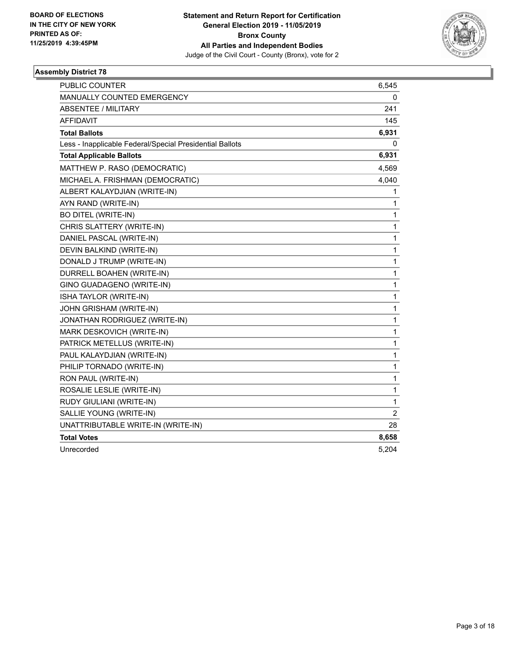

| PUBLIC COUNTER                                           | 6,545 |
|----------------------------------------------------------|-------|
| MANUALLY COUNTED EMERGENCY                               | 0     |
| <b>ABSENTEE / MILITARY</b>                               | 241   |
| <b>AFFIDAVIT</b>                                         | 145   |
| <b>Total Ballots</b>                                     | 6,931 |
| Less - Inapplicable Federal/Special Presidential Ballots | 0     |
| <b>Total Applicable Ballots</b>                          | 6,931 |
| MATTHEW P. RASO (DEMOCRATIC)                             | 4,569 |
| MICHAEL A. FRISHMAN (DEMOCRATIC)                         | 4,040 |
| ALBERT KALAYDJIAN (WRITE-IN)                             | 1     |
| AYN RAND (WRITE-IN)                                      | 1     |
| <b>BO DITEL (WRITE-IN)</b>                               | 1     |
| CHRIS SLATTERY (WRITE-IN)                                | 1     |
| DANIEL PASCAL (WRITE-IN)                                 | 1     |
| DEVIN BALKIND (WRITE-IN)                                 | 1     |
| DONALD J TRUMP (WRITE-IN)                                | 1     |
| DURRELL BOAHEN (WRITE-IN)                                | 1     |
| GINO GUADAGENO (WRITE-IN)                                | 1     |
| ISHA TAYLOR (WRITE-IN)                                   | 1     |
| JOHN GRISHAM (WRITE-IN)                                  | 1     |
| JONATHAN RODRIGUEZ (WRITE-IN)                            | 1     |
| MARK DESKOVICH (WRITE-IN)                                | 1     |
| PATRICK METELLUS (WRITE-IN)                              | 1     |
| PAUL KALAYDJIAN (WRITE-IN)                               | 1     |
| PHILIP TORNADO (WRITE-IN)                                | 1     |
| RON PAUL (WRITE-IN)                                      | 1     |
| ROSALIE LESLIE (WRITE-IN)                                | 1     |
| RUDY GIULIANI (WRITE-IN)                                 | 1     |
| SALLIE YOUNG (WRITE-IN)                                  | 2     |
| UNATTRIBUTABLE WRITE-IN (WRITE-IN)                       | 28    |
| <b>Total Votes</b>                                       | 8,658 |
| Unrecorded                                               | 5,204 |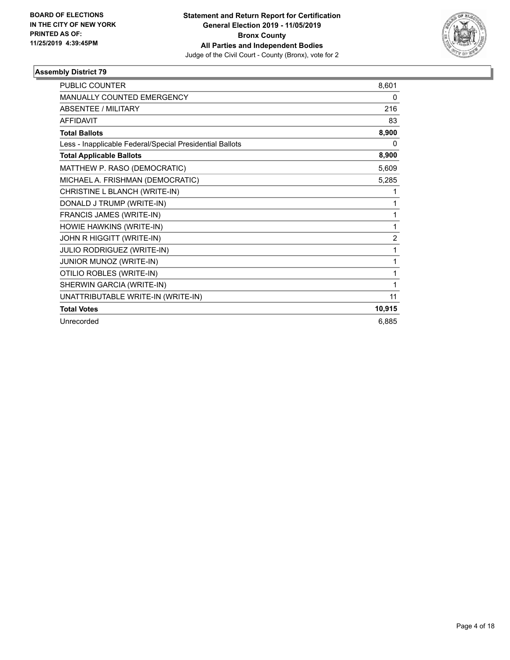

| PUBLIC COUNTER                                           | 8,601  |
|----------------------------------------------------------|--------|
| MANUALLY COUNTED EMERGENCY                               | 0      |
| <b>ABSENTEE / MILITARY</b>                               | 216    |
| <b>AFFIDAVIT</b>                                         | 83     |
| <b>Total Ballots</b>                                     | 8,900  |
| Less - Inapplicable Federal/Special Presidential Ballots | 0      |
| <b>Total Applicable Ballots</b>                          | 8,900  |
| MATTHEW P. RASO (DEMOCRATIC)                             | 5,609  |
| MICHAEL A. FRISHMAN (DEMOCRATIC)                         | 5,285  |
| CHRISTINE L BLANCH (WRITE-IN)                            | 1      |
| DONALD J TRUMP (WRITE-IN)                                | 1      |
| FRANCIS JAMES (WRITE-IN)                                 | 1      |
| HOWIE HAWKINS (WRITE-IN)                                 | 1      |
| JOHN R HIGGITT (WRITE-IN)                                | 2      |
| JULIO RODRIGUEZ (WRITE-IN)                               | 1      |
| JUNIOR MUNOZ (WRITE-IN)                                  | 1      |
| OTILIO ROBLES (WRITE-IN)                                 | 1      |
| SHERWIN GARCIA (WRITE-IN)                                | 1      |
| UNATTRIBUTABLE WRITE-IN (WRITE-IN)                       | 11     |
| <b>Total Votes</b>                                       | 10,915 |
| Unrecorded                                               | 6,885  |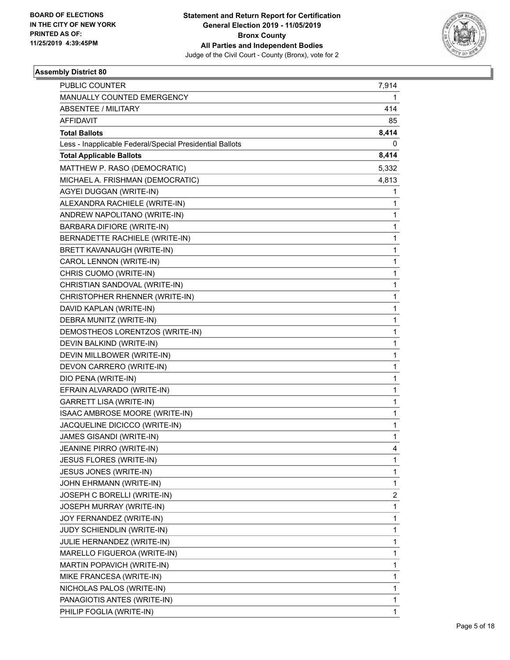

| <b>PUBLIC COUNTER</b>                                    | 7,914        |
|----------------------------------------------------------|--------------|
| MANUALLY COUNTED EMERGENCY                               | 1            |
| ABSENTEE / MILITARY                                      | 414          |
| AFFIDAVIT                                                | 85           |
| <b>Total Ballots</b>                                     | 8,414        |
| Less - Inapplicable Federal/Special Presidential Ballots | 0            |
| <b>Total Applicable Ballots</b>                          | 8,414        |
| MATTHEW P. RASO (DEMOCRATIC)                             | 5,332        |
| MICHAEL A. FRISHMAN (DEMOCRATIC)                         | 4,813        |
| AGYEI DUGGAN (WRITE-IN)                                  | 1            |
| ALEXANDRA RACHIELE (WRITE-IN)                            | 1            |
| ANDREW NAPOLITANO (WRITE-IN)                             | 1            |
| BARBARA DIFIORE (WRITE-IN)                               | 1            |
| BERNADETTE RACHIELE (WRITE-IN)                           | 1            |
| BRETT KAVANAUGH (WRITE-IN)                               | $\mathbf 1$  |
| CAROL LENNON (WRITE-IN)                                  | 1            |
| CHRIS CUOMO (WRITE-IN)                                   | 1            |
| CHRISTIAN SANDOVAL (WRITE-IN)                            | 1            |
| CHRISTOPHER RHENNER (WRITE-IN)                           | 1            |
| DAVID KAPLAN (WRITE-IN)                                  | 1            |
| DEBRA MUNITZ (WRITE-IN)                                  | $\mathbf 1$  |
| DEMOSTHEOS LORENTZOS (WRITE-IN)                          | 1            |
| DEVIN BALKIND (WRITE-IN)                                 | 1            |
| DEVIN MILLBOWER (WRITE-IN)                               | 1            |
| DEVON CARRERO (WRITE-IN)                                 | 1            |
| DIO PENA (WRITE-IN)                                      | 1            |
| EFRAIN ALVARADO (WRITE-IN)                               | $\mathbf 1$  |
| GARRETT LISA (WRITE-IN)                                  | 1            |
| ISAAC AMBROSE MOORE (WRITE-IN)                           | 1            |
| JACQUELINE DICICCO (WRITE-IN)                            | 1            |
| JAMES GISANDI (WRITE-IN)                                 | 1            |
| JEANINE PIRRO (WRITE-IN)                                 | 4            |
| JESUS FLORES (WRITE-IN)                                  | 1            |
| JESUS JONES (WRITE-IN)                                   | 1            |
| JOHN EHRMANN (WRITE-IN)                                  | 1            |
| JOSEPH C BORELLI (WRITE-IN)                              | 2            |
| JOSEPH MURRAY (WRITE-IN)                                 | 1            |
| JOY FERNANDEZ (WRITE-IN)                                 | 1            |
| JUDY SCHIENDLIN (WRITE-IN)                               | 1            |
| JULIE HERNANDEZ (WRITE-IN)                               | 1            |
| MARELLO FIGUEROA (WRITE-IN)                              | 1            |
| MARTIN POPAVICH (WRITE-IN)                               | $\mathbf{1}$ |
| MIKE FRANCESA (WRITE-IN)                                 | 1            |
| NICHOLAS PALOS (WRITE-IN)                                | 1            |
| PANAGIOTIS ANTES (WRITE-IN)                              | 1            |
| PHILIP FOGLIA (WRITE-IN)                                 | 1            |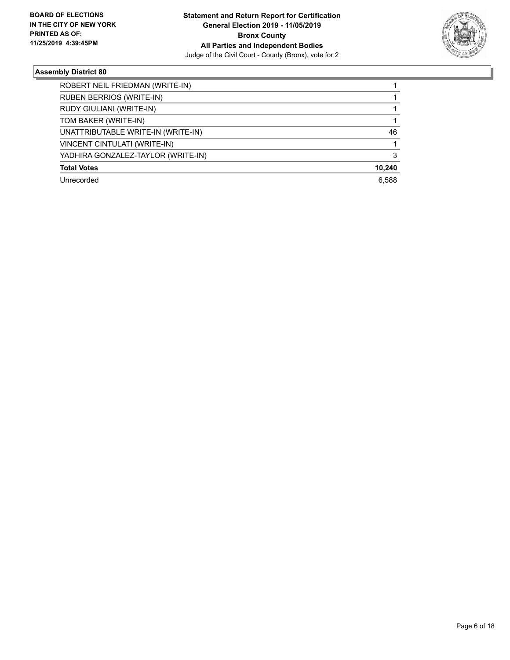

| ROBERT NEIL FRIEDMAN (WRITE-IN)    |        |
|------------------------------------|--------|
| <b>RUBEN BERRIOS (WRITE-IN)</b>    |        |
| RUDY GIULIANI (WRITE-IN)           |        |
| TOM BAKER (WRITE-IN)               |        |
| UNATTRIBUTABLE WRITE-IN (WRITE-IN) | 46     |
| VINCENT CINTULATI (WRITE-IN)       |        |
| YADHIRA GONZALEZ-TAYLOR (WRITE-IN) |        |
| <b>Total Votes</b>                 | 10,240 |
| Unrecorded                         | 6.588  |
|                                    |        |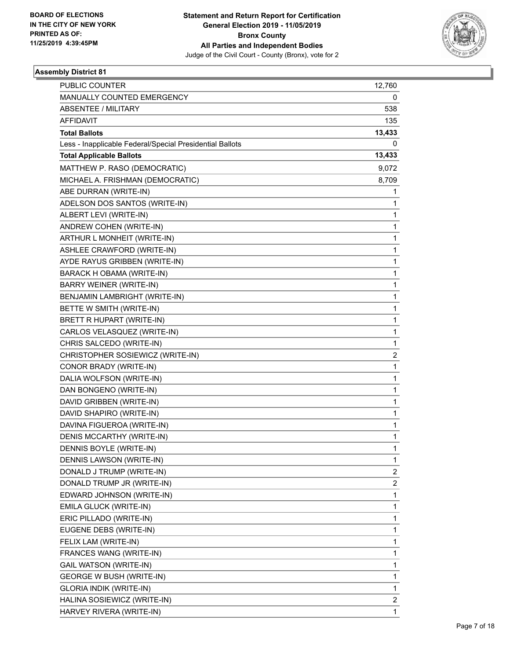

| PUBLIC COUNTER                                           | 12,760         |
|----------------------------------------------------------|----------------|
| MANUALLY COUNTED EMERGENCY                               | 0              |
| ABSENTEE / MILITARY                                      | 538            |
| <b>AFFIDAVIT</b>                                         | 135            |
| <b>Total Ballots</b>                                     | 13,433         |
| Less - Inapplicable Federal/Special Presidential Ballots | 0              |
| <b>Total Applicable Ballots</b>                          | 13,433         |
| MATTHEW P. RASO (DEMOCRATIC)                             | 9,072          |
| MICHAEL A. FRISHMAN (DEMOCRATIC)                         | 8,709          |
| ABE DURRAN (WRITE-IN)                                    | 1              |
| ADELSON DOS SANTOS (WRITE-IN)                            | 1              |
| ALBERT LEVI (WRITE-IN)                                   | 1              |
| ANDREW COHEN (WRITE-IN)                                  | 1              |
| ARTHUR L MONHEIT (WRITE-IN)                              | 1              |
| ASHLEE CRAWFORD (WRITE-IN)                               | 1              |
| AYDE RAYUS GRIBBEN (WRITE-IN)                            | 1              |
| BARACK H OBAMA (WRITE-IN)                                | 1              |
| <b>BARRY WEINER (WRITE-IN)</b>                           | 1              |
| BENJAMIN LAMBRIGHT (WRITE-IN)                            | 1              |
| BETTE W SMITH (WRITE-IN)                                 | 1              |
| BRETT R HUPART (WRITE-IN)                                | 1              |
| CARLOS VELASQUEZ (WRITE-IN)                              | 1              |
| CHRIS SALCEDO (WRITE-IN)                                 | 1              |
| CHRISTOPHER SOSIEWICZ (WRITE-IN)                         | 2              |
| CONOR BRADY (WRITE-IN)                                   | 1              |
| DALIA WOLFSON (WRITE-IN)                                 | 1              |
| DAN BONGENO (WRITE-IN)                                   | 1              |
| DAVID GRIBBEN (WRITE-IN)                                 | 1              |
| DAVID SHAPIRO (WRITE-IN)                                 | 1              |
| DAVINA FIGUEROA (WRITE-IN)                               | 1              |
| DENIS MCCARTHY (WRITE-IN)                                | 1              |
| DENNIS BOYLE (WRITE-IN)                                  | 1              |
| DENNIS LAWSON (WRITE-IN)                                 | 1              |
| DONALD J TRUMP (WRITE-IN)                                | $\overline{c}$ |
| DONALD TRUMP JR (WRITE-IN)                               | 2              |
| EDWARD JOHNSON (WRITE-IN)                                | 1              |
| EMILA GLUCK (WRITE-IN)                                   | 1              |
| ERIC PILLADO (WRITE-IN)                                  | 1              |
| EUGENE DEBS (WRITE-IN)                                   | 1              |
| FELIX LAM (WRITE-IN)                                     | 1              |
| FRANCES WANG (WRITE-IN)                                  | 1              |
| <b>GAIL WATSON (WRITE-IN)</b>                            | 1              |
| <b>GEORGE W BUSH (WRITE-IN)</b>                          | 1              |
| GLORIA INDIK (WRITE-IN)                                  | 1              |
| HALINA SOSIEWICZ (WRITE-IN)                              | 2              |
| HARVEY RIVERA (WRITE-IN)                                 | 1              |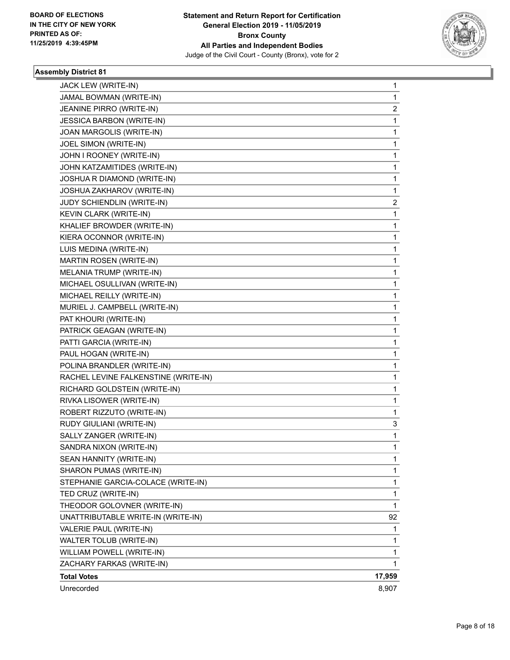

| JACK LEW (WRITE-IN)                  | $\mathbf{1}$ |
|--------------------------------------|--------------|
| JAMAL BOWMAN (WRITE-IN)              | 1            |
| JEANINE PIRRO (WRITE-IN)             | 2            |
| <b>JESSICA BARBON (WRITE-IN)</b>     | 1            |
| JOAN MARGOLIS (WRITE-IN)             | 1            |
| JOEL SIMON (WRITE-IN)                | 1            |
| JOHN I ROONEY (WRITE-IN)             | 1            |
| JOHN KATZAMITIDES (WRITE-IN)         | 1            |
| JOSHUA R DIAMOND (WRITE-IN)          | 1            |
| JOSHUA ZAKHAROV (WRITE-IN)           | 1            |
| JUDY SCHIENDLIN (WRITE-IN)           | 2            |
| KEVIN CLARK (WRITE-IN)               | 1            |
| KHALIEF BROWDER (WRITE-IN)           | 1            |
| KIERA OCONNOR (WRITE-IN)             | 1            |
| LUIS MEDINA (WRITE-IN)               | 1            |
| MARTIN ROSEN (WRITE-IN)              | 1            |
| MELANIA TRUMP (WRITE-IN)             | 1            |
| MICHAEL OSULLIVAN (WRITE-IN)         | 1            |
| MICHAEL REILLY (WRITE-IN)            | 1            |
| MURIEL J. CAMPBELL (WRITE-IN)        | 1            |
| PAT KHOURI (WRITE-IN)                | 1            |
| PATRICK GEAGAN (WRITE-IN)            | 1            |
| PATTI GARCIA (WRITE-IN)              | 1            |
| PAUL HOGAN (WRITE-IN)                | 1            |
| POLINA BRANDLER (WRITE-IN)           | 1            |
| RACHEL LEVINE FALKENSTINE (WRITE-IN) | 1            |
| RICHARD GOLDSTEIN (WRITE-IN)         | 1            |
| RIVKA LISOWER (WRITE-IN)             | 1            |
| ROBERT RIZZUTO (WRITE-IN)            | 1            |
| RUDY GIULIANI (WRITE-IN)             | 3            |
| SALLY ZANGER (WRITE-IN)              | 1            |
| SANDRA NIXON (WRITE-IN)              | $\mathbf{1}$ |
| SEAN HANNITY (WRITE-IN)              | 1            |
| SHARON PUMAS (WRITE-IN)              | 1            |
| STEPHANIE GARCIA-COLACE (WRITE-IN)   | 1            |
| TED CRUZ (WRITE-IN)                  | 1            |
| THEODOR GOLOVNER (WRITE-IN)          | 1            |
| UNATTRIBUTABLE WRITE-IN (WRITE-IN)   | 92           |
| VALERIE PAUL (WRITE-IN)              | 1            |
| WALTER TOLUB (WRITE-IN)              | 1            |
| WILLIAM POWELL (WRITE-IN)            | 1            |
| ZACHARY FARKAS (WRITE-IN)            | 1            |
| <b>Total Votes</b>                   | 17,959       |
| Unrecorded                           | 8,907        |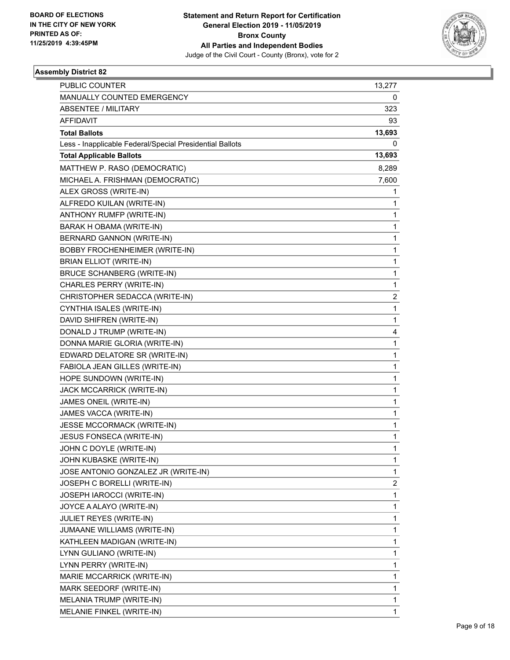

| PUBLIC COUNTER                                           | 13,277 |
|----------------------------------------------------------|--------|
| MANUALLY COUNTED EMERGENCY                               | 0      |
| ABSENTEE / MILITARY                                      | 323    |
| AFFIDAVIT                                                | 93     |
| <b>Total Ballots</b>                                     | 13,693 |
| Less - Inapplicable Federal/Special Presidential Ballots | 0      |
| <b>Total Applicable Ballots</b>                          | 13,693 |
| MATTHEW P. RASO (DEMOCRATIC)                             | 8,289  |
| MICHAEL A. FRISHMAN (DEMOCRATIC)                         | 7,600  |
| ALEX GROSS (WRITE-IN)                                    | 1      |
| ALFREDO KUILAN (WRITE-IN)                                | 1      |
| ANTHONY RUMFP (WRITE-IN)                                 | 1      |
| BARAK H OBAMA (WRITE-IN)                                 | 1      |
| BERNARD GANNON (WRITE-IN)                                | 1      |
| <b>BOBBY FROCHENHEIMER (WRITE-IN)</b>                    | 1      |
| <b>BRIAN ELLIOT (WRITE-IN)</b>                           | 1      |
| BRUCE SCHANBERG (WRITE-IN)                               | 1      |
| CHARLES PERRY (WRITE-IN)                                 | 1      |
| CHRISTOPHER SEDACCA (WRITE-IN)                           | 2      |
| CYNTHIA ISALES (WRITE-IN)                                | 1      |
| DAVID SHIFREN (WRITE-IN)                                 | 1      |
| DONALD J TRUMP (WRITE-IN)                                | 4      |
| DONNA MARIE GLORIA (WRITE-IN)                            | 1      |
| EDWARD DELATORE SR (WRITE-IN)                            | 1      |
| FABIOLA JEAN GILLES (WRITE-IN)                           | 1      |
| HOPE SUNDOWN (WRITE-IN)                                  | 1      |
| JACK MCCARRICK (WRITE-IN)                                | 1      |
| JAMES ONEIL (WRITE-IN)                                   | 1      |
| JAMES VACCA (WRITE-IN)                                   | 1      |
| JESSE MCCORMACK (WRITE-IN)                               | 1      |
| JESUS FONSECA (WRITE-IN)                                 | 1      |
| JOHN C DOYLE (WRITE-IN)                                  | 1      |
| JOHN KUBASKE (WRITE-IN)                                  | 1      |
| JOSE ANTONIO GONZALEZ JR (WRITE-IN)                      | 1      |
| JOSEPH C BORELLI (WRITE-IN)                              | 2      |
| JOSEPH IAROCCI (WRITE-IN)                                | 1      |
| JOYCE A ALAYO (WRITE-IN)                                 | 1      |
| <b>JULIET REYES (WRITE-IN)</b>                           | 1      |
| JUMAANE WILLIAMS (WRITE-IN)                              | 1      |
| KATHLEEN MADIGAN (WRITE-IN)                              | 1      |
| LYNN GULIANO (WRITE-IN)                                  | 1      |
| LYNN PERRY (WRITE-IN)                                    | 1      |
| MARIE MCCARRICK (WRITE-IN)                               | 1      |
| MARK SEEDORF (WRITE-IN)                                  | 1      |
| MELANIA TRUMP (WRITE-IN)                                 | 1      |
| MELANIE FINKEL (WRITE-IN)                                | 1      |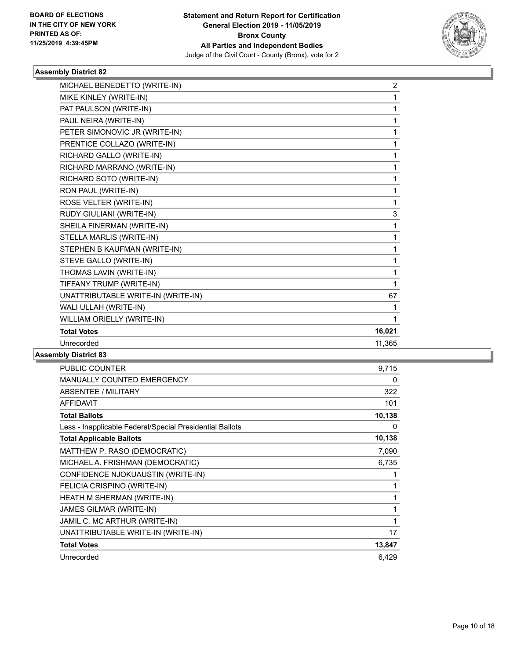

| MICHAEL BENEDETTO (WRITE-IN)       | $\overline{c}$ |
|------------------------------------|----------------|
| MIKE KINLEY (WRITE-IN)             | 1              |
| PAT PAULSON (WRITE-IN)             | $\mathbf{1}$   |
| PAUL NEIRA (WRITE-IN)              | $\mathbf{1}$   |
| PETER SIMONOVIC JR (WRITE-IN)      | 1              |
| PRENTICE COLLAZO (WRITE-IN)        | 1              |
| RICHARD GALLO (WRITE-IN)           | 1              |
| RICHARD MARRANO (WRITE-IN)         | 1              |
| RICHARD SOTO (WRITE-IN)            | $\mathbf 1$    |
| RON PAUL (WRITE-IN)                | 1              |
| ROSE VELTER (WRITE-IN)             | $\mathbf 1$    |
| RUDY GIULIANI (WRITE-IN)           | 3              |
| SHEILA FINERMAN (WRITE-IN)         | 1              |
| STELLA MARLIS (WRITE-IN)           | $\mathbf 1$    |
| STEPHEN B KAUFMAN (WRITE-IN)       | 1              |
| STEVE GALLO (WRITE-IN)             | $\mathbf 1$    |
| THOMAS LAVIN (WRITE-IN)            | 1              |
| TIFFANY TRUMP (WRITE-IN)           | $\mathbf{1}$   |
| UNATTRIBUTABLE WRITE-IN (WRITE-IN) | 67             |
| WALI ULLAH (WRITE-IN)              | 1              |
| WILLIAM ORIELLY (WRITE-IN)         | $\mathbf{1}$   |
| <b>Total Votes</b>                 | 16,021         |
| Unrecorded                         | 11,365         |
|                                    |                |

| 9,715  |
|--------|
| 0      |
| 322    |
| 101    |
| 10,138 |
| 0      |
| 10,138 |
| 7,090  |
| 6,735  |
|        |
|        |
| 1      |
| 1      |
| 1      |
| 17     |
| 13,847 |
| 6,429  |
|        |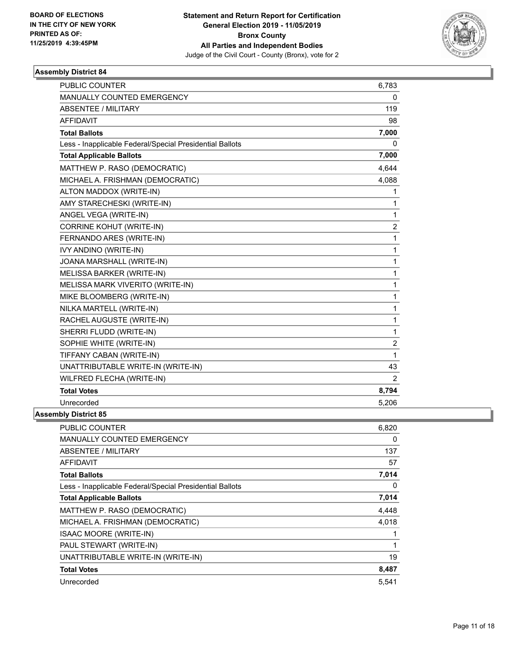

| <b>PUBLIC COUNTER</b>                                    | 6,783          |
|----------------------------------------------------------|----------------|
| MANUALLY COUNTED EMERGENCY                               | 0              |
| <b>ABSENTEE / MILITARY</b>                               | 119            |
| AFFIDAVIT                                                | 98             |
| <b>Total Ballots</b>                                     | 7,000          |
| Less - Inapplicable Federal/Special Presidential Ballots | 0              |
| <b>Total Applicable Ballots</b>                          | 7,000          |
| MATTHEW P. RASO (DEMOCRATIC)                             | 4,644          |
| MICHAEL A. FRISHMAN (DEMOCRATIC)                         | 4,088          |
| ALTON MADDOX (WRITE-IN)                                  | 1              |
| AMY STARECHESKI (WRITE-IN)                               | 1              |
| ANGEL VEGA (WRITE-IN)                                    | 1              |
| <b>CORRINE KOHUT (WRITE-IN)</b>                          | $\overline{2}$ |
| FERNANDO ARES (WRITE-IN)                                 | 1              |
| <b>IVY ANDINO (WRITE-IN)</b>                             | 1              |
| JOANA MARSHALL (WRITE-IN)                                | 1              |
| MELISSA BARKER (WRITE-IN)                                | 1              |
| MELISSA MARK VIVERITO (WRITE-IN)                         | 1              |
| MIKE BLOOMBERG (WRITE-IN)                                | 1              |
| NILKA MARTELL (WRITE-IN)                                 | 1              |
| RACHEL AUGUSTE (WRITE-IN)                                | 1              |
| SHERRI FLUDD (WRITE-IN)                                  | 1              |
| SOPHIE WHITE (WRITE-IN)                                  | 2              |
| TIFFANY CABAN (WRITE-IN)                                 | 1              |
| UNATTRIBUTABLE WRITE-IN (WRITE-IN)                       | 43             |
| WILFRED FLECHA (WRITE-IN)                                | $\overline{2}$ |
| <b>Total Votes</b>                                       | 8,794          |
| Unrecorded                                               | 5,206          |
| nhlv Dietri <i>r</i> t 85                                |                |

| <b>PUBLIC COUNTER</b>                                    | 6,820 |
|----------------------------------------------------------|-------|
| <b>MANUALLY COUNTED EMERGENCY</b>                        | 0     |
| ABSENTEE / MILITARY                                      | 137   |
| <b>AFFIDAVIT</b>                                         | 57    |
| <b>Total Ballots</b>                                     | 7,014 |
| Less - Inapplicable Federal/Special Presidential Ballots | 0     |
| <b>Total Applicable Ballots</b>                          | 7,014 |
| MATTHEW P. RASO (DEMOCRATIC)                             | 4,448 |
| MICHAEL A. FRISHMAN (DEMOCRATIC)                         | 4,018 |
| <b>ISAAC MOORE (WRITE-IN)</b>                            | 1     |
| PAUL STEWART (WRITE-IN)                                  | 1     |
| UNATTRIBUTABLE WRITE-IN (WRITE-IN)                       | 19    |
| <b>Total Votes</b>                                       | 8,487 |
| Unrecorded                                               | 5,541 |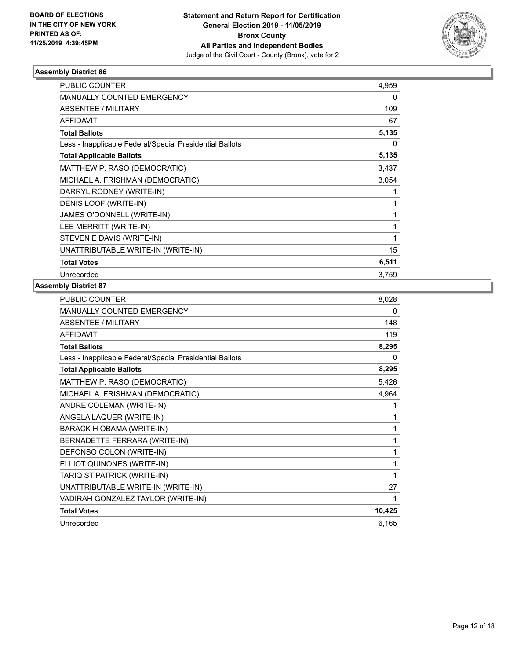

| PUBLIC COUNTER                                           | 4,959 |
|----------------------------------------------------------|-------|
| <b>MANUALLY COUNTED EMERGENCY</b>                        | 0     |
| ABSENTEE / MILITARY                                      | 109   |
| <b>AFFIDAVIT</b>                                         | 67    |
| <b>Total Ballots</b>                                     | 5,135 |
| Less - Inapplicable Federal/Special Presidential Ballots | 0     |
| <b>Total Applicable Ballots</b>                          | 5,135 |
| MATTHEW P. RASO (DEMOCRATIC)                             | 3,437 |
| MICHAEL A. FRISHMAN (DEMOCRATIC)                         | 3,054 |
| DARRYL RODNEY (WRITE-IN)                                 | 1     |
| DENIS LOOF (WRITE-IN)                                    | 1     |
| JAMES O'DONNELL (WRITE-IN)                               | 1     |
| LEE MERRITT (WRITE-IN)                                   | 1     |
| STEVEN E DAVIS (WRITE-IN)                                | 1     |
| UNATTRIBUTABLE WRITE-IN (WRITE-IN)                       | 15    |
| <b>Total Votes</b>                                       | 6,511 |
| Unrecorded                                               | 3,759 |

| <b>PUBLIC COUNTER</b>                                    | 8,028  |
|----------------------------------------------------------|--------|
| <b>MANUALLY COUNTED EMERGENCY</b>                        | 0      |
| <b>ABSENTEE / MILITARY</b>                               | 148    |
| <b>AFFIDAVIT</b>                                         | 119    |
| <b>Total Ballots</b>                                     | 8,295  |
| Less - Inapplicable Federal/Special Presidential Ballots | 0      |
| <b>Total Applicable Ballots</b>                          | 8,295  |
| MATTHEW P. RASO (DEMOCRATIC)                             | 5,426  |
| MICHAEL A. FRISHMAN (DEMOCRATIC)                         | 4,964  |
| ANDRE COLEMAN (WRITE-IN)                                 | 1      |
| ANGELA LAQUER (WRITE-IN)                                 | 1      |
| BARACK H OBAMA (WRITE-IN)                                | 1      |
| BERNADETTE FERRARA (WRITE-IN)                            | 1      |
| DEFONSO COLON (WRITE-IN)                                 | 1      |
| ELLIOT QUINONES (WRITE-IN)                               | 1      |
| TARIQ ST PATRICK (WRITE-IN)                              | 1      |
| UNATTRIBUTABLE WRITE-IN (WRITE-IN)                       | 27     |
| VADIRAH GONZALEZ TAYLOR (WRITE-IN)                       | 1      |
| <b>Total Votes</b>                                       | 10,425 |
| Unrecorded                                               | 6,165  |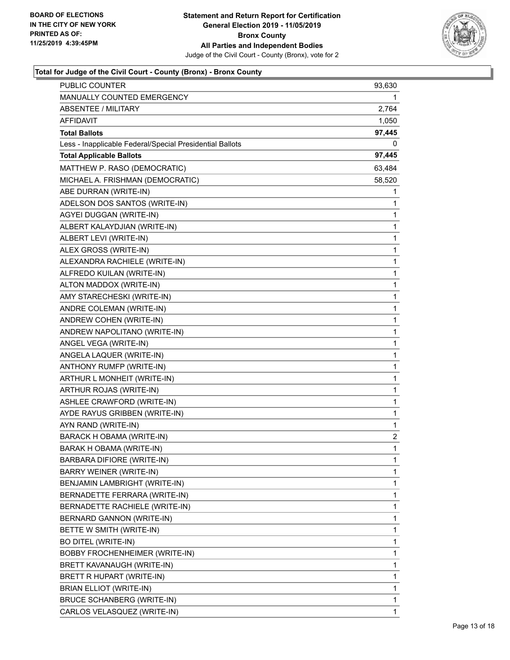

| PUBLIC COUNTER                                           | 93,630 |
|----------------------------------------------------------|--------|
| MANUALLY COUNTED EMERGENCY                               | 1      |
| <b>ABSENTEE / MILITARY</b>                               | 2,764  |
| AFFIDAVIT                                                | 1,050  |
| <b>Total Ballots</b>                                     | 97,445 |
| Less - Inapplicable Federal/Special Presidential Ballots | 0      |
| <b>Total Applicable Ballots</b>                          | 97,445 |
| MATTHEW P. RASO (DEMOCRATIC)                             | 63,484 |
| MICHAEL A. FRISHMAN (DEMOCRATIC)                         | 58,520 |
| ABE DURRAN (WRITE-IN)                                    | 1      |
| ADELSON DOS SANTOS (WRITE-IN)                            | 1      |
| AGYEI DUGGAN (WRITE-IN)                                  | 1      |
| ALBERT KALAYDJIAN (WRITE-IN)                             | 1      |
| ALBERT LEVI (WRITE-IN)                                   | 1      |
| ALEX GROSS (WRITE-IN)                                    | 1      |
| ALEXANDRA RACHIELE (WRITE-IN)                            | 1      |
| ALFREDO KUILAN (WRITE-IN)                                | 1      |
| ALTON MADDOX (WRITE-IN)                                  | 1      |
| AMY STARECHESKI (WRITE-IN)                               | 1      |
| ANDRE COLEMAN (WRITE-IN)                                 | 1      |
| ANDREW COHEN (WRITE-IN)                                  | 1      |
| ANDREW NAPOLITANO (WRITE-IN)                             | 1      |
| ANGEL VEGA (WRITE-IN)                                    | 1      |
| ANGELA LAQUER (WRITE-IN)                                 | 1      |
| ANTHONY RUMFP (WRITE-IN)                                 | 1      |
| ARTHUR L MONHEIT (WRITE-IN)                              | 1      |
| ARTHUR ROJAS (WRITE-IN)                                  | 1      |
| ASHLEE CRAWFORD (WRITE-IN)                               | 1      |
| AYDE RAYUS GRIBBEN (WRITE-IN)                            | 1      |
| AYN RAND (WRITE-IN)                                      | 1      |
| BARACK H OBAMA (WRITE-IN)                                | 2      |
| BARAK H OBAMA (WRITE-IN)                                 | 1      |
| BARBARA DIFIORE (WRITE-IN)                               | 1      |
| BARRY WEINER (WRITE-IN)                                  | 1      |
| BENJAMIN LAMBRIGHT (WRITE-IN)                            | 1      |
| BERNADETTE FERRARA (WRITE-IN)                            | 1      |
| BERNADETTE RACHIELE (WRITE-IN)                           | 1      |
| BERNARD GANNON (WRITE-IN)                                | 1      |
| BETTE W SMITH (WRITE-IN)                                 | 1      |
| <b>BO DITEL (WRITE-IN)</b>                               | 1      |
| <b>BOBBY FROCHENHEIMER (WRITE-IN)</b>                    | 1      |
| BRETT KAVANAUGH (WRITE-IN)                               | 1      |
| BRETT R HUPART (WRITE-IN)                                | 1      |
| BRIAN ELLIOT (WRITE-IN)                                  | 1      |
| BRUCE SCHANBERG (WRITE-IN)                               | 1      |
| CARLOS VELASQUEZ (WRITE-IN)                              | 1      |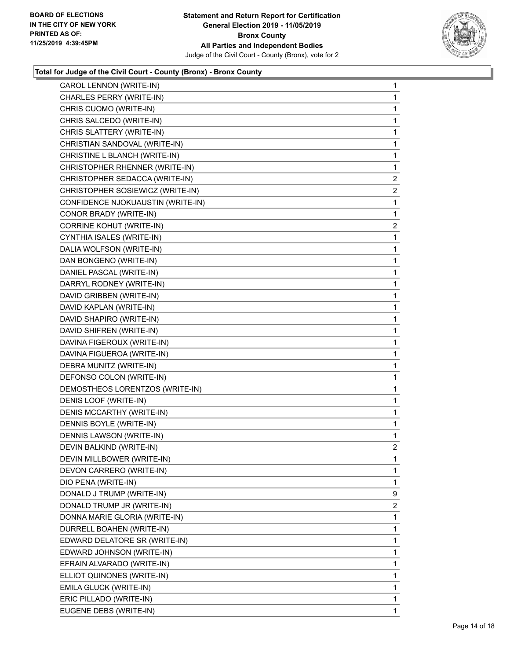

| CAROL LENNON (WRITE-IN)           | $\mathbf{1}$   |
|-----------------------------------|----------------|
| CHARLES PERRY (WRITE-IN)          | 1              |
| CHRIS CUOMO (WRITE-IN)            | 1              |
| CHRIS SALCEDO (WRITE-IN)          | 1              |
| CHRIS SLATTERY (WRITE-IN)         | 1              |
| CHRISTIAN SANDOVAL (WRITE-IN)     | 1              |
| CHRISTINE L BLANCH (WRITE-IN)     | 1              |
| CHRISTOPHER RHENNER (WRITE-IN)    | 1              |
| CHRISTOPHER SEDACCA (WRITE-IN)    | $\overline{a}$ |
| CHRISTOPHER SOSIEWICZ (WRITE-IN)  | $\overline{a}$ |
| CONFIDENCE NJOKUAUSTIN (WRITE-IN) | 1              |
| CONOR BRADY (WRITE-IN)            | 1              |
| CORRINE KOHUT (WRITE-IN)          | $\overline{a}$ |
| CYNTHIA ISALES (WRITE-IN)         | 1              |
| DALIA WOLFSON (WRITE-IN)          | 1              |
| DAN BONGENO (WRITE-IN)            | 1              |
| DANIEL PASCAL (WRITE-IN)          | 1              |
| DARRYL RODNEY (WRITE-IN)          | 1              |
| DAVID GRIBBEN (WRITE-IN)          | 1              |
| DAVID KAPLAN (WRITE-IN)           | 1              |
| DAVID SHAPIRO (WRITE-IN)          | 1              |
| DAVID SHIFREN (WRITE-IN)          | 1              |
| DAVINA FIGEROUX (WRITE-IN)        | 1              |
| DAVINA FIGUEROA (WRITE-IN)        | 1              |
| DEBRA MUNITZ (WRITE-IN)           | 1              |
| DEFONSO COLON (WRITE-IN)          | 1              |
| DEMOSTHEOS LORENTZOS (WRITE-IN)   | 1              |
| DENIS LOOF (WRITE-IN)             | 1              |
| DENIS MCCARTHY (WRITE-IN)         | 1              |
| DENNIS BOYLE (WRITE-IN)           | 1              |
| DENNIS LAWSON (WRITE-IN)          | 1              |
| DEVIN BALKIND (WRITE-IN)          | $\overline{2}$ |
| DEVIN MILLBOWER (WRITE-IN)        | 1              |
| DEVON CARRERO (WRITE-IN)          | 1              |
| DIO PENA (WRITE-IN)               | 1              |
| DONALD J TRUMP (WRITE-IN)         | 9              |
| DONALD TRUMP JR (WRITE-IN)        | $\overline{2}$ |
| DONNA MARIE GLORIA (WRITE-IN)     | 1              |
| DURRELL BOAHEN (WRITE-IN)         | 1              |
| EDWARD DELATORE SR (WRITE-IN)     | 1              |
| EDWARD JOHNSON (WRITE-IN)         | 1              |
| EFRAIN ALVARADO (WRITE-IN)        | 1              |
| ELLIOT QUINONES (WRITE-IN)        | 1              |
| EMILA GLUCK (WRITE-IN)            | 1              |
| ERIC PILLADO (WRITE-IN)           | 1              |
| EUGENE DEBS (WRITE-IN)            | 1              |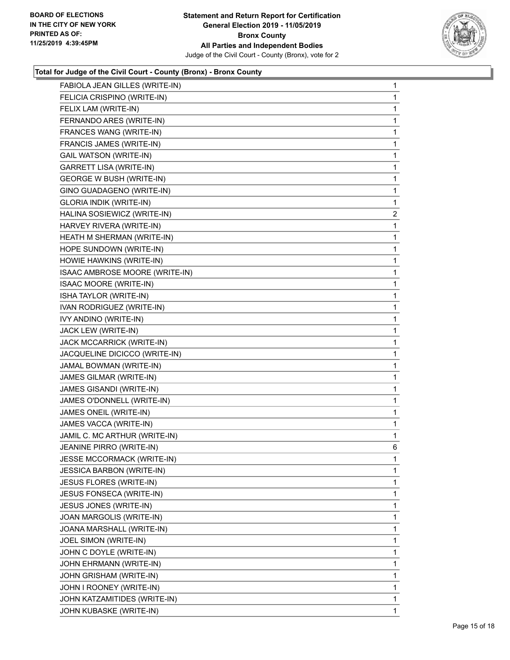

| FABIOLA JEAN GILLES (WRITE-IN)   | $\mathbf{1}$ |
|----------------------------------|--------------|
| FELICIA CRISPINO (WRITE-IN)      | 1            |
| FELIX LAM (WRITE-IN)             | 1            |
| FERNANDO ARES (WRITE-IN)         | 1            |
| FRANCES WANG (WRITE-IN)          | 1            |
| FRANCIS JAMES (WRITE-IN)         | 1            |
| <b>GAIL WATSON (WRITE-IN)</b>    | 1            |
| GARRETT LISA (WRITE-IN)          | 1            |
| <b>GEORGE W BUSH (WRITE-IN)</b>  | 1            |
| GINO GUADAGENO (WRITE-IN)        | 1            |
| <b>GLORIA INDIK (WRITE-IN)</b>   | 1            |
| HALINA SOSIEWICZ (WRITE-IN)      | 2            |
| HARVEY RIVERA (WRITE-IN)         | 1            |
| HEATH M SHERMAN (WRITE-IN)       | 1            |
| HOPE SUNDOWN (WRITE-IN)          | 1            |
| HOWIE HAWKINS (WRITE-IN)         | 1            |
| ISAAC AMBROSE MOORE (WRITE-IN)   | 1            |
| <b>ISAAC MOORE (WRITE-IN)</b>    | 1            |
| ISHA TAYLOR (WRITE-IN)           | 1            |
| IVAN RODRIGUEZ (WRITE-IN)        | 1            |
| IVY ANDINO (WRITE-IN)            | 1            |
| JACK LEW (WRITE-IN)              | 1            |
| JACK MCCARRICK (WRITE-IN)        | 1            |
| JACQUELINE DICICCO (WRITE-IN)    | 1            |
| JAMAL BOWMAN (WRITE-IN)          | 1            |
| JAMES GILMAR (WRITE-IN)          | 1            |
| JAMES GISANDI (WRITE-IN)         | 1            |
| JAMES O'DONNELL (WRITE-IN)       | 1            |
| JAMES ONEIL (WRITE-IN)           | 1            |
| JAMES VACCA (WRITE-IN)           | 1            |
| JAMIL C. MC ARTHUR (WRITE-IN)    | 1            |
| JEANINE PIRRO (WRITE-IN)         | 6            |
| JESSE MCCORMACK (WRITE-IN)       | 1            |
| <b>JESSICA BARBON (WRITE-IN)</b> | 1            |
| JESUS FLORES (WRITE-IN)          | 1            |
| <b>JESUS FONSECA (WRITE-IN)</b>  | 1            |
| JESUS JONES (WRITE-IN)           | 1            |
| JOAN MARGOLIS (WRITE-IN)         | 1            |
| JOANA MARSHALL (WRITE-IN)        | 1            |
| JOEL SIMON (WRITE-IN)            | 1            |
| JOHN C DOYLE (WRITE-IN)          | 1            |
| JOHN EHRMANN (WRITE-IN)          | 1            |
| JOHN GRISHAM (WRITE-IN)          | 1            |
| JOHN I ROONEY (WRITE-IN)         | 1            |
| JOHN KATZAMITIDES (WRITE-IN)     | 1            |
| JOHN KUBASKE (WRITE-IN)          | 1.           |
|                                  |              |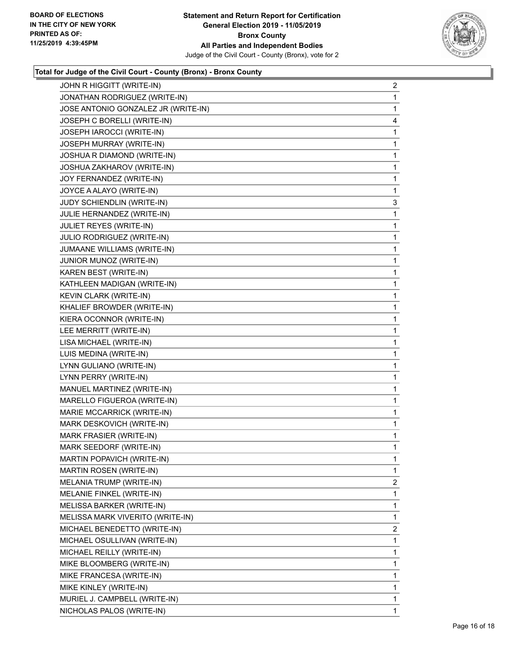

| JOHN R HIGGITT (WRITE-IN)           | $\overline{a}$ |
|-------------------------------------|----------------|
| JONATHAN RODRIGUEZ (WRITE-IN)       | 1              |
| JOSE ANTONIO GONZALEZ JR (WRITE-IN) | 1              |
| JOSEPH C BORELLI (WRITE-IN)         | 4              |
| JOSEPH IAROCCI (WRITE-IN)           | 1              |
| JOSEPH MURRAY (WRITE-IN)            | 1              |
| JOSHUA R DIAMOND (WRITE-IN)         | 1              |
| JOSHUA ZAKHAROV (WRITE-IN)          | 1              |
| JOY FERNANDEZ (WRITE-IN)            | 1              |
| JOYCE A ALAYO (WRITE-IN)            | 1              |
| JUDY SCHIENDLIN (WRITE-IN)          | 3              |
| JULIE HERNANDEZ (WRITE-IN)          | 1              |
| JULIET REYES (WRITE-IN)             | 1              |
| JULIO RODRIGUEZ (WRITE-IN)          | 1              |
| JUMAANE WILLIAMS (WRITE-IN)         | 1              |
| JUNIOR MUNOZ (WRITE-IN)             | 1              |
| KAREN BEST (WRITE-IN)               | 1              |
| KATHLEEN MADIGAN (WRITE-IN)         | 1              |
| KEVIN CLARK (WRITE-IN)              | 1              |
| KHALIEF BROWDER (WRITE-IN)          | 1              |
| KIERA OCONNOR (WRITE-IN)            | 1              |
| LEE MERRITT (WRITE-IN)              | 1              |
| LISA MICHAEL (WRITE-IN)             | 1              |
| LUIS MEDINA (WRITE-IN)              | 1              |
| LYNN GULIANO (WRITE-IN)             | 1              |
| LYNN PERRY (WRITE-IN)               | 1              |
| MANUEL MARTINEZ (WRITE-IN)          | 1              |
| MARELLO FIGUEROA (WRITE-IN)         | 1              |
| MARIE MCCARRICK (WRITE-IN)          | 1              |
| MARK DESKOVICH (WRITE-IN)           | 1              |
| MARK FRASIER (WRITE-IN)             | 1              |
| MARK SEEDORF (WRITE-IN)             | 1              |
| MARTIN POPAVICH (WRITE-IN)          | 1              |
| MARTIN ROSEN (WRITE-IN)             | 1              |
| MELANIA TRUMP (WRITE-IN)            | $\overline{2}$ |
| MELANIE FINKEL (WRITE-IN)           | 1              |
| MELISSA BARKER (WRITE-IN)           | 1              |
| MELISSA MARK VIVERITO (WRITE-IN)    | 1              |
| MICHAEL BENEDETTO (WRITE-IN)        | 2              |
| MICHAEL OSULLIVAN (WRITE-IN)        | 1              |
| MICHAEL REILLY (WRITE-IN)           | 1              |
| MIKE BLOOMBERG (WRITE-IN)           | 1              |
| MIKE FRANCESA (WRITE-IN)            | 1              |
| MIKE KINLEY (WRITE-IN)              | 1              |
| MURIEL J. CAMPBELL (WRITE-IN)       | 1              |
| NICHOLAS PALOS (WRITE-IN)           | 1              |
|                                     |                |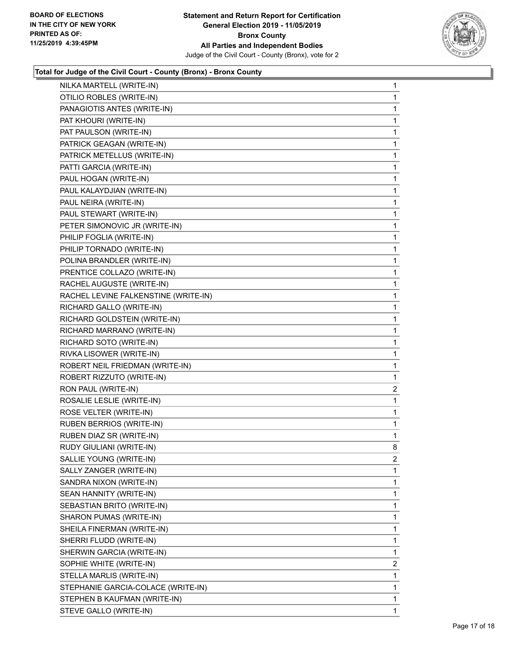

| NILKA MARTELL (WRITE-IN)             | 1              |
|--------------------------------------|----------------|
| OTILIO ROBLES (WRITE-IN)             | 1              |
| PANAGIOTIS ANTES (WRITE-IN)          | 1              |
| PAT KHOURI (WRITE-IN)                | 1              |
| PAT PAULSON (WRITE-IN)               | 1              |
| PATRICK GEAGAN (WRITE-IN)            | 1              |
| PATRICK METELLUS (WRITE-IN)          | 1              |
| PATTI GARCIA (WRITE-IN)              | 1              |
| PAUL HOGAN (WRITE-IN)                | 1              |
| PAUL KALAYDJIAN (WRITE-IN)           | 1              |
| PAUL NEIRA (WRITE-IN)                | 1              |
| PAUL STEWART (WRITE-IN)              | 1              |
| PETER SIMONOVIC JR (WRITE-IN)        | 1              |
| PHILIP FOGLIA (WRITE-IN)             | 1              |
| PHILIP TORNADO (WRITE-IN)            | 1              |
| POLINA BRANDLER (WRITE-IN)           | 1              |
| PRENTICE COLLAZO (WRITE-IN)          | 1              |
| RACHEL AUGUSTE (WRITE-IN)            | 1              |
| RACHEL LEVINE FALKENSTINE (WRITE-IN) | 1              |
| RICHARD GALLO (WRITE-IN)             | 1              |
| RICHARD GOLDSTEIN (WRITE-IN)         | 1              |
| RICHARD MARRANO (WRITE-IN)           | 1              |
| RICHARD SOTO (WRITE-IN)              | 1              |
| RIVKA LISOWER (WRITE-IN)             | 1              |
| ROBERT NEIL FRIEDMAN (WRITE-IN)      | 1              |
| ROBERT RIZZUTO (WRITE-IN)            | 1              |
| RON PAUL (WRITE-IN)                  | $\overline{c}$ |
| ROSALIE LESLIE (WRITE-IN)            | 1              |
| ROSE VELTER (WRITE-IN)               | 1              |
| <b>RUBEN BERRIOS (WRITE-IN)</b>      | 1              |
| RUBEN DIAZ SR (WRITE-IN)             | 1              |
| RUDY GIULIANI (WRITE-IN)             | 8              |
| SALLIE YOUNG (WRITE-IN)              | 2              |
| SALLY ZANGER (WRITE-IN)              | 1              |
| SANDRA NIXON (WRITE-IN)              | 1              |
| SEAN HANNITY (WRITE-IN)              | 1              |
| SEBASTIAN BRITO (WRITE-IN)           | 1              |
| SHARON PUMAS (WRITE-IN)              | 1              |
| SHEILA FINERMAN (WRITE-IN)           | 1              |
| SHERRI FLUDD (WRITE-IN)              | 1              |
| SHERWIN GARCIA (WRITE-IN)            | 1              |
| SOPHIE WHITE (WRITE-IN)              | $\overline{2}$ |
| STELLA MARLIS (WRITE-IN)             | 1              |
| STEPHANIE GARCIA-COLACE (WRITE-IN)   | 1              |
| STEPHEN B KAUFMAN (WRITE-IN)         | 1              |
| STEVE GALLO (WRITE-IN)               | 1              |
|                                      |                |